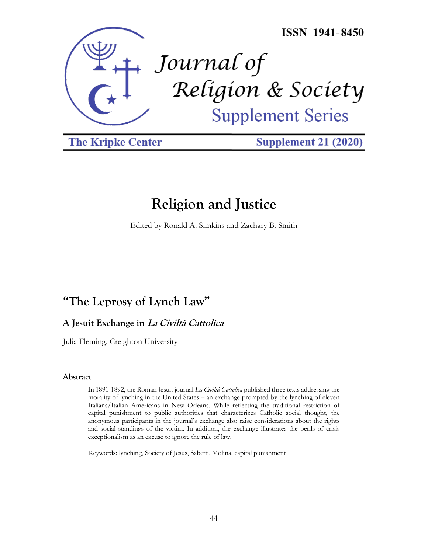

**The Kripke Center** 

**Supplement 21 (2020)** 

# **Religion and Justice**

Edited by Ronald A. Simkins and Zachary B. Smith

## **"The Leprosy of Lynch Law"**

**A Jesuit Exchange in La Civiltà Cattolica**

Julia Fleming, Creighton University

## **Abstract**

In 1891-1892, the Roman Jesuit journal *La Civiltà Cattolica* published three texts addressing the morality of lynching in the United States – an exchange prompted by the lynching of eleven Italians/Italian Americans in New Orleans. While reflecting the traditional restriction of capital punishment to public authorities that characterizes Catholic social thought, the anonymous participants in the journal's exchange also raise considerations about the rights and social standings of the victim. In addition, the exchange illustrates the perils of crisis exceptionalism as an excuse to ignore the rule of law.

Keywords: lynching, Society of Jesus, Sabetti, Molina, capital punishment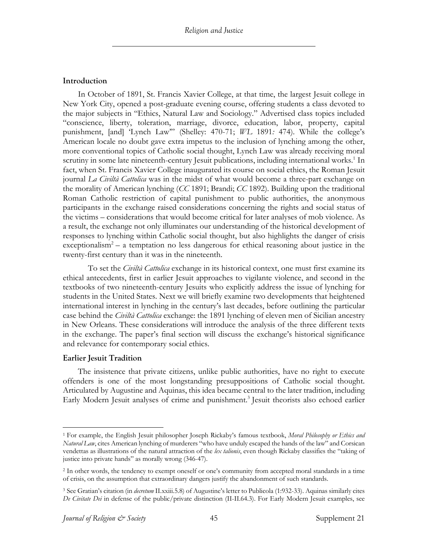## **Introduction**

In October of 1891, St. Francis Xavier College, at that time, the largest Jesuit college in New York City, opened a post-graduate evening course, offering students a class devoted to the major subjects in "Ethics, Natural Law and Sociology." Advertised class topics included "conscience, liberty, toleration, marriage, divorce, education, labor, property, capital punishment, [and] 'Lynch Law'" (Shelley: 470-71; *WL* 1891*:* 474). While the college's American locale no doubt gave extra impetus to the inclusion of lynching among the other, more conventional topics of Catholic social thought, Lynch Law was already receiving moral scrutiny in some late nineteenth-century Jesuit publications, including international works.<sup>1</sup> In fact, when St. Francis Xavier College inaugurated its course on social ethics, the Roman Jesuit journal *La Civiltà Cattolica* was in the midst of what would become a three-part exchange on the morality of American lynching (*CC* 1891; Brandi; *CC* 1892). Building upon the traditional Roman Catholic restriction of capital punishment to public authorities, the anonymous participants in the exchange raised considerations concerning the rights and social status of the victims – considerations that would become critical for later analyses of mob violence. As a result, the exchange not only illuminates our understanding of the historical development of responses to lynching within Catholic social thought, but also highlights the danger of crisis exceptionalism<sup>2</sup> – a temptation no less dangerous for ethical reasoning about justice in the twenty-first century than it was in the nineteenth.

To set the *Civiltà Cattolica* exchange in its historical context, one must first examine its ethical antecedents, first in earlier Jesuit approaches to vigilante violence, and second in the textbooks of two nineteenth-century Jesuits who explicitly address the issue of lynching for students in the United States. Next we will briefly examine two developments that heightened international interest in lynching in the century's last decades, before outlining the particular case behind the *Civiltà Cattolica* exchange: the 1891 lynching of eleven men of Sicilian ancestry in New Orleans. These considerations will introduce the analysis of the three different texts in the exchange. The paper's final section will discuss the exchange's historical significance and relevance for contemporary social ethics.

## **Earlier Jesuit Tradition**

The insistence that private citizens, unlike public authorities, have no right to execute offenders is one of the most longstanding presuppositions of Catholic social thought. Articulated by Augustine and Aquinas, this idea became central to the later tradition, including Early Modern Jesuit analyses of crime and punishment.<sup>3</sup> Jesuit theorists also echoed earlier

<sup>1</sup> For example, the English Jesuit philosopher Joseph Rickaby's famous textbook, *Moral Philosophy or Ethics and Natural Law*, cites American lynching of murderers "who have unduly escaped the hands of the law" and Corsican vendettas as illustrations of the natural attraction of the *lex talionis*, even though Rickaby classifies the "taking of justice into private hands" as morally wrong (346-47).

<sup>&</sup>lt;sup>2</sup> In other words, the tendency to exempt oneself or one's community from accepted moral standards in a time of crisis, on the assumption that extraordinary dangers justify the abandonment of such standards.

<sup>3</sup> See Gratian's citation (in *decretum* II.xxiii.5.8) of Augustine's letter to Publicola (1:932-33). Aquinas similarly cites *De Civitate Dei* in defense of the public/private distinction (II-II.64.3). For Early Modern Jesuit examples, see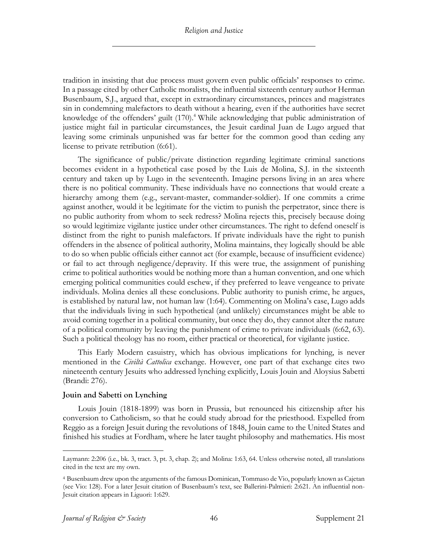tradition in insisting that due process must govern even public officials' responses to crime. In a passage cited by other Catholic moralists, the influential sixteenth century author Herman Busenbaum, S.J., argued that, except in extraordinary circumstances, princes and magistrates sin in condemning malefactors to death without a hearing, even if the authorities have secret knowledge of the offenders' guilt (170).<sup>4</sup> While acknowledging that public administration of justice might fail in particular circumstances, the Jesuit cardinal Juan de Lugo argued that leaving some criminals unpunished was far better for the common good than ceding any license to private retribution (6:61).

The significance of public/private distinction regarding legitimate criminal sanctions becomes evident in a hypothetical case posed by the Luis de Molina, S.J. in the sixteenth century and taken up by Lugo in the seventeenth. Imagine persons living in an area where there is no political community. These individuals have no connections that would create a hierarchy among them (e.g., servant-master, commander-soldier). If one commits a crime against another, would it be legitimate for the victim to punish the perpetrator, since there is no public authority from whom to seek redress? Molina rejects this, precisely because doing so would legitimize vigilante justice under other circumstances. The right to defend oneself is distinct from the right to punish malefactors. If private individuals have the right to punish offenders in the absence of political authority, Molina maintains, they logically should be able to do so when public officials either cannot act (for example, because of insufficient evidence) or fail to act through negligence/depravity. If this were true, the assignment of punishing crime to political authorities would be nothing more than a human convention, and one which emerging political communities could eschew, if they preferred to leave vengeance to private individuals. Molina denies all these conclusions. Public authority to punish crime, he argues, is established by natural law, not human law (1:64). Commenting on Molina's case, Lugo adds that the individuals living in such hypothetical (and unlikely) circumstances might be able to avoid coming together in a political community, but once they do, they cannot alter the nature of a political community by leaving the punishment of crime to private individuals (6:62, 63). Such a political theology has no room, either practical or theoretical, for vigilante justice.

This Early Modern casuistry, which has obvious implications for lynching, is never mentioned in the *Civiltà Cattolica* exchange. However, one part of that exchange cites two nineteenth century Jesuits who addressed lynching explicitly, Louis Jouin and Aloysius Sabetti (Brandi: 276).

## **Jouin and Sabetti on Lynching**

Louis Jouin (1818-1899) was born in Prussia, but renounced his citizenship after his conversion to Catholicism, so that he could study abroad for the priesthood. Expelled from Reggio as a foreign Jesuit during the revolutions of 1848, Jouin came to the United States and finished his studies at Fordham, where he later taught philosophy and mathematics. His most

Laymann: 2:206 (i.e., bk. 3, tract. 3, pt. 3, chap. 2); and Molina: 1:63, 64. Unless otherwise noted, all translations cited in the text are my own.

<sup>4</sup> Busenbaum drew upon the arguments of the famous Dominican, Tommaso de Vio, popularly known as Cajetan (see Vio: 128). For a later Jesuit citation of Busenbaum's text, see Ballerini-Palmieri: 2:621. An influential non-Jesuit citation appears in Liguori: 1:629.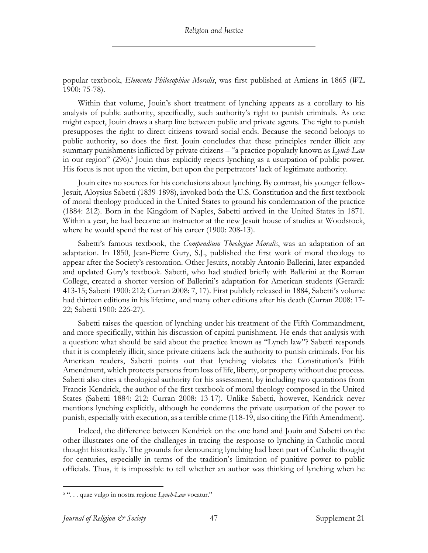popular textbook, *Elementa Philosophiae Moralis*, was first published at Amiens in 1865 (*WL* 1900: 75-78).

Within that volume, Jouin's short treatment of lynching appears as a corollary to his analysis of public authority, specifically, such authority's right to punish criminals. As one might expect, Jouin draws a sharp line between public and private agents. The right to punish presupposes the right to direct citizens toward social ends. Because the second belongs to public authority, so does the first. Jouin concludes that these principles render illicit any summary punishments inflicted by private citizens – "a practice popularly known as *Lynch-Law* in our region" (296). <sup>5</sup> Jouin thus explicitly rejects lynching as a usurpation of public power. His focus is not upon the victim, but upon the perpetrators' lack of legitimate authority.

Jouin cites no sources for his conclusions about lynching. By contrast, his younger fellow-Jesuit, Aloysius Sabetti (1839-1898), invoked both the U.S. Constitution and the first textbook of moral theology produced in the United States to ground his condemnation of the practice (1884: 212). Born in the Kingdom of Naples, Sabetti arrived in the United States in 1871. Within a year, he had become an instructor at the new Jesuit house of studies at Woodstock, where he would spend the rest of his career (1900: 208-13).

Sabetti's famous textbook, the *Compendium Theologiae Moralis*, was an adaptation of an adaptation. In 1850, Jean-Pierre Gury, S.J., published the first work of moral theology to appear after the Society's restoration. Other Jesuits, notably Antonio Ballerini, later expanded and updated Gury's textbook. Sabetti, who had studied briefly with Ballerini at the Roman College, created a shorter version of Ballerini's adaptation for American students (Gerardi: 413-15; Sabetti 1900: 212; Curran 2008: 7, 17). First publicly released in 1884, Sabetti's volume had thirteen editions in his lifetime, and many other editions after his death (Curran 2008: 17- 22; Sabetti 1900: 226-27).

Sabetti raises the question of lynching under his treatment of the Fifth Commandment, and more specifically, within his discussion of capital punishment. He ends that analysis with a question: what should be said about the practice known as "Lynch law"? Sabetti responds that it is completely illicit, since private citizens lack the authority to punish criminals. For his American readers, Sabetti points out that lynching violates the Constitution's Fifth Amendment, which protects persons from loss of life, liberty, or property without due process. Sabetti also cites a theological authority for his assessment, by including two quotations from Francis Kendrick, the author of the first textbook of moral theology composed in the United States (Sabetti 1884: 212: Curran 2008: 13-17). Unlike Sabetti, however, Kendrick never mentions lynching explicitly, although he condemns the private usurpation of the power to punish, especially with execution, as a terrible crime (118-19, also citing the Fifth Amendment).

Indeed, the difference between Kendrick on the one hand and Jouin and Sabetti on the other illustrates one of the challenges in tracing the response to lynching in Catholic moral thought historically. The grounds for denouncing lynching had been part of Catholic thought for centuries, especially in terms of the tradition's limitation of punitive power to public officials. Thus, it is impossible to tell whether an author was thinking of lynching when he

<sup>5</sup> ". . . quae vulgo in nostra regione *Lynch-Law* vocatur."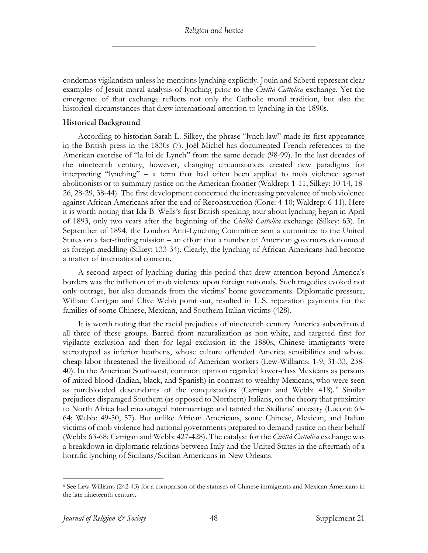condemns vigilantism unless he mentions lynching explicitly. Jouin and Sabetti represent clear examples of Jesuit moral analysis of lynching prior to the *Civiltà Cattolica* exchange. Yet the emergence of that exchange reflects not only the Catholic moral tradition, but also the historical circumstances that drew international attention to lynching in the 1890s.

## **Historical Background**

According to historian Sarah L. Silkey, the phrase "lynch law" made its first appearance in the British press in the 1830s (7). Joël Michel has documented French references to the American exercise of "la loi de Lynch" from the same decade (98-99). In the last decades of the nineteenth century, however, changing circumstances created new paradigms for interpreting "lynching" – a term that had often been applied to mob violence against abolitionists or to summary justice on the American frontier (Waldrep: 1-11; Silkey: 10-14, 18- 26, 28-29, 38-44). The first development concerned the increasing prevalence of mob violence against African Americans after the end of Reconstruction (Cone: 4-10; Waldrep: 6-11). Here it is worth noting that Ida B. Wells's first British speaking tour about lynching began in April of 1893, only two years after the beginning of the *Civiltà Cattolica* exchange (Silkey: 63). In September of 1894, the London Anti-Lynching Committee sent a committee to the United States on a fact-finding mission – an effort that a number of American governors denounced as foreign meddling (Silkey: 133-34). Clearly, the lynching of African Americans had become a matter of international concern.

A second aspect of lynching during this period that drew attention beyond America's borders was the infliction of mob violence upon foreign nationals. Such tragedies evoked not only outrage, but also demands from the victims' home governments. Diplomatic pressure, William Carrigan and Clive Webb point out, resulted in U.S. reparation payments for the families of some Chinese, Mexican, and Southern Italian victims (428).

It is worth noting that the racial prejudices of nineteenth century America subordinated all three of these groups. Barred from naturalization as non-white, and targeted first for vigilante exclusion and then for legal exclusion in the 1880s, Chinese immigrants were stereotyped as inferior heathens, whose culture offended America sensibilities and whose cheap labor threatened the livelihood of American workers (Lew-Williams: 1-9, 31-33, 238- 40). In the American Southwest, common opinion regarded lower-class Mexicans as persons of mixed blood (Indian, black, and Spanish) in contrast to wealthy Mexicans, who were seen as pureblooded descendants of the conquistadors (Carrigan and Webb: 418). <sup>6</sup> Similar prejudices disparaged Southern (as opposed to Northern) Italians, on the theory that proximity to North Africa had encouraged intermarriage and tainted the Sicilians' ancestry (Luconi: 63- 64; Webb: 49-50, 57). But unlike African Americans, some Chinese, Mexican, and Italian victims of mob violence had national governments prepared to demand justice on their behalf (Webb: 63-68; Carrigan and Webb: 427-428). The catalyst for the *Civiltà Cattolica* exchange was a breakdown in diplomatic relations between Italy and the United States in the aftermath of a horrific lynching of Sicilians/Sicilian Americans in New Orleans.

<sup>6</sup> See Lew-Williams (242-43) for a comparison of the statuses of Chinese immigrants and Mexican Americans in the late nineteenth century.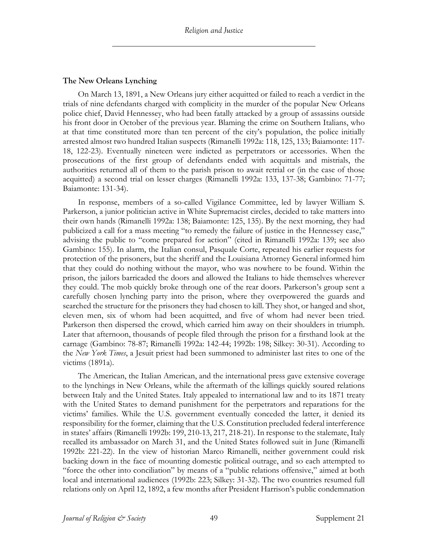## **The New Orleans Lynching**

On March 13, 1891, a New Orleans jury either acquitted or failed to reach a verdict in the trials of nine defendants charged with complicity in the murder of the popular New Orleans police chief, David Hennessey, who had been fatally attacked by a group of assassins outside his front door in October of the previous year. Blaming the crime on Southern Italians, who at that time constituted more than ten percent of the city's population, the police initially arrested almost two hundred Italian suspects (Rimanelli 1992a: 118, 125, 133; Baiamonte: 117- 18, 122-23). Eventually nineteen were indicted as perpetrators or accessories. When the prosecutions of the first group of defendants ended with acquittals and mistrials, the authorities returned all of them to the parish prison to await retrial or (in the case of those acquitted) a second trial on lesser charges (Rimanelli 1992a: 133, 137-38; Gambino: 71-77; Baiamonte: 131-34).

In response, members of a so-called Vigilance Committee, led by lawyer William S. Parkerson, a junior politician active in White Supremacist circles, decided to take matters into their own hands (Rimanelli 1992a: 138; Baiamonte: 125, 135). By the next morning, they had publicized a call for a mass meeting "to remedy the failure of justice in the Hennessey case," advising the public to "come prepared for action" (cited in Rimanelli 1992a: 139; see also Gambino: 155). In alarm, the Italian consul, Pasquale Corte, repeated his earlier requests for protection of the prisoners, but the sheriff and the Louisiana Attorney General informed him that they could do nothing without the mayor, who was nowhere to be found. Within the prison, the jailors barricaded the doors and allowed the Italians to hide themselves wherever they could. The mob quickly broke through one of the rear doors. Parkerson's group sent a carefully chosen lynching party into the prison, where they overpowered the guards and searched the structure for the prisoners they had chosen to kill. They shot, or hanged and shot, eleven men, six of whom had been acquitted, and five of whom had never been tried. Parkerson then dispersed the crowd, which carried him away on their shoulders in triumph. Later that afternoon, thousands of people filed through the prison for a firsthand look at the carnage (Gambino: 78-87; Rimanelli 1992a: 142-44; 1992b: 198; Silkey: 30-31). According to the *New York Times*, a Jesuit priest had been summoned to administer last rites to one of the victims (1891a).

The American, the Italian American, and the international press gave extensive coverage to the lynchings in New Orleans, while the aftermath of the killings quickly soured relations between Italy and the United States. Italy appealed to international law and to its 1871 treaty with the United States to demand punishment for the perpetrators and reparations for the victims' families. While the U.S. government eventually conceded the latter, it denied its responsibility for the former, claiming that the U.S. Constitution precluded federal interference in states' affairs (Rimanelli 1992b: 199, 210-13, 217, 218-21). In response to the stalemate, Italy recalled its ambassador on March 31, and the United States followed suit in June (Rimanelli 1992b: 221-22). In the view of historian Marco Rimanelli, neither government could risk backing down in the face of mounting domestic political outrage, and so each attempted to "force the other into conciliation" by means of a "public relations offensive," aimed at both local and international audiences (1992b: 223; Silkey: 31-32). The two countries resumed full relations only on April 12, 1892, a few months after President Harrison's public condemnation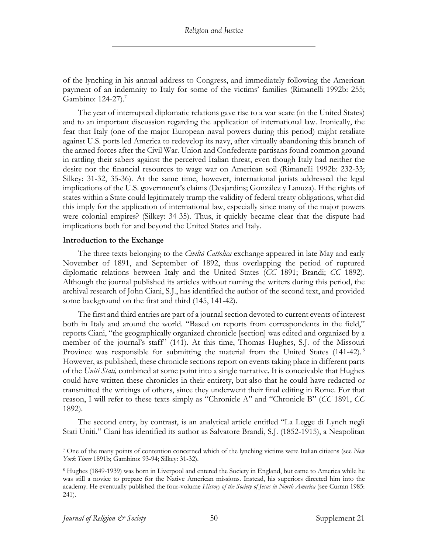of the lynching in his annual address to Congress, and immediately following the American payment of an indemnity to Italy for some of the victims' families (Rimanelli 1992b: 255; Gambino: 124-27).<sup>7</sup>

The year of interrupted diplomatic relations gave rise to a war scare (in the United States) and to an important discussion regarding the application of international law. Ironically, the fear that Italy (one of the major European naval powers during this period) might retaliate against U.S. ports led America to redevelop its navy, after virtually abandoning this branch of the armed forces after the Civil War. Union and Confederate partisans found common ground in rattling their sabers against the perceived Italian threat, even though Italy had neither the desire nor the financial resources to wage war on American soil (Rimanelli 1992b: 232-33; Silkey: 31-32, 35-36). At the same time, however, international jurists addressed the legal implications of the U.S. government's claims (Desjardins; González y Lanuza). If the rights of states within a State could legitimately trump the validity of federal treaty obligations, what did this imply for the application of international law, especially since many of the major powers were colonial empires? (Silkey: 34-35). Thus, it quickly became clear that the dispute had implications both for and beyond the United States and Italy.

#### **Introduction to the Exchange**

The three texts belonging to the *Civiltà Cattolica* exchange appeared in late May and early November of 1891, and September of 1892, thus overlapping the period of ruptured diplomatic relations between Italy and the United States (*CC* 1891; Brandi; *CC* 1892). Although the journal published its articles without naming the writers during this period, the archival research of John Ciani, S.J., has identified the author of the second text, and provided some background on the first and third (145, 141-42).

The first and third entries are part of a journal section devoted to current events of interest both in Italy and around the world. "Based on reports from correspondents in the field," reports Ciani, "the geographically organized chronicle [section] was edited and organized by a member of the journal's staff" (141). At this time, Thomas Hughes, S.J. of the Missouri Province was responsible for submitting the material from the United States (141-42).<sup>8</sup> However, as published, these chronicle sections report on events taking place in different parts of the *Uniti Stati,* combined at some point into a single narrative. It is conceivable that Hughes could have written these chronicles in their entirety, but also that he could have redacted or transmitted the writings of others, since they underwent their final editing in Rome. For that reason, I will refer to these texts simply as "Chronicle A" and "Chronicle B" (*CC* 1891, *CC* 1892).

The second entry, by contrast, is an analytical article entitled "La Legge di Lynch negli Stati Uniti." Ciani has identified its author as Salvatore Brandi, S.J. (1852-1915), a Neapolitan

<sup>7</sup> One of the many points of contention concerned which of the lynching victims were Italian citizens (see *New York Times* 1891b; Gambino: 93-94; Silkey: 31-32).

<sup>8</sup> Hughes (1849-1939) was born in Liverpool and entered the Society in England, but came to America while he was still a novice to prepare for the Native American missions. Instead, his superiors directed him into the academy. He eventually published the four-volume *History of the Society of Jesus in North America* (see Curran 1985: 241).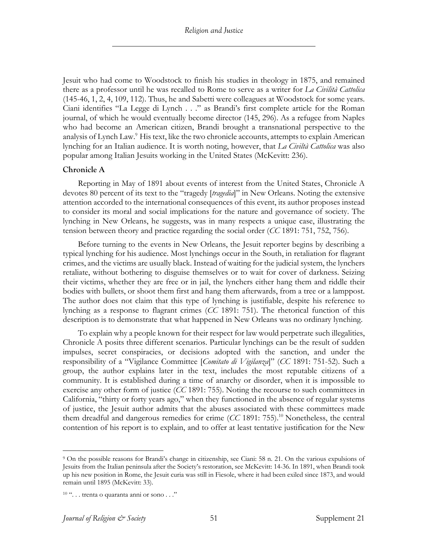Jesuit who had come to Woodstock to finish his studies in theology in 1875, and remained there as a professor until he was recalled to Rome to serve as a writer for *La Civilità Cattolica* (145-46, 1, 2, 4, 109, 112). Thus, he and Sabetti were colleagues at Woodstock for some years. Ciani identifies "La Legge di Lynch . . ." as Brandi's first complete article for the Roman journal, of which he would eventually become director (145, 296). As a refugee from Naples who had become an American citizen, Brandi brought a transnational perspective to the analysis of Lynch Law.<sup>9</sup> His text, like the two chronicle accounts, attempts to explain American lynching for an Italian audience. It is worth noting, however, that *La Civiltà Cattolica* was also popular among Italian Jesuits working in the United States (McKevitt: 236).

## **Chronicle A**

Reporting in May of 1891 about events of interest from the United States, Chronicle A devotes 80 percent of its text to the "tragedy [*tragedia*]" in New Orleans. Noting the extensive attention accorded to the international consequences of this event, its author proposes instead to consider its moral and social implications for the nature and governance of society. The lynching in New Orleans, he suggests, was in many respects a unique case, illustrating the tension between theory and practice regarding the social order (*CC* 1891: 751, 752, 756).

Before turning to the events in New Orleans, the Jesuit reporter begins by describing a typical lynching for his audience. Most lynchings occur in the South, in retaliation for flagrant crimes, and the victims are usually black. Instead of waiting for the judicial system, the lynchers retaliate, without bothering to disguise themselves or to wait for cover of darkness. Seizing their victims, whether they are free or in jail, the lynchers either hang them and riddle their bodies with bullets, or shoot them first and hang them afterwards, from a tree or a lamppost. The author does not claim that this type of lynching is justifiable, despite his reference to lynching as a response to flagrant crimes (*CC* 1891: 751). The rhetorical function of this description is to demonstrate that what happened in New Orleans was no ordinary lynching.

To explain why a people known for their respect for law would perpetrate such illegalities, Chronicle A posits three different scenarios. Particular lynchings can be the result of sudden impulses, secret conspiracies, or decisions adopted with the sanction, and under the responsibility of a "Vigilance Committee [*Comitato di Vigilanza*]" (*CC* 1891: 751-52). Such a group, the author explains later in the text, includes the most reputable citizens of a community. It is established during a time of anarchy or disorder, when it is impossible to exercise any other form of justice (*CC* 1891: 755). Noting the recourse to such committees in California, "thirty or forty years ago," when they functioned in the absence of regular systems of justice, the Jesuit author admits that the abuses associated with these committees made them dreadful and dangerous remedies for crime (*CC* 1891: 755).<sup>10</sup> Nonetheless, the central contention of his report is to explain, and to offer at least tentative justification for the New

<sup>9</sup> On the possible reasons for Brandi's change in citizenship, see Ciani: 58 n. 21. On the various expulsions of Jesuits from the Italian peninsula after the Society's restoration, see McKevitt: 14-36. In 1891, when Brandi took up his new position in Rome, the Jesuit curia was still in Fiesole, where it had been exiled since 1873, and would remain until 1895 (McKevitt: 33).

<sup>&</sup>lt;sup>10</sup> "... trenta o quaranta anni or sono ..."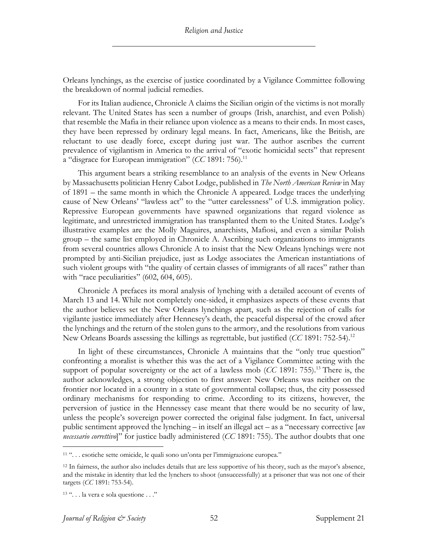Orleans lynchings, as the exercise of justice coordinated by a Vigilance Committee following the breakdown of normal judicial remedies.

For its Italian audience, Chronicle A claims the Sicilian origin of the victims is not morally relevant. The United States has seen a number of groups (Irish, anarchist, and even Polish) that resemble the Mafia in their reliance upon violence as a means to their ends. In most cases, they have been repressed by ordinary legal means. In fact, Americans, like the British, are reluctant to use deadly force, except during just war. The author ascribes the current prevalence of vigilantism in America to the arrival of "exotic homicidal sects" that represent a "disgrace for European immigration" (*CC* 1891: 756).<sup>11</sup>

This argument bears a striking resemblance to an analysis of the events in New Orleans by Massachusetts politician Henry Cabot Lodge, published in *The North American Review* in May of 1891 – the same month in which the Chronicle A appeared. Lodge traces the underlying cause of New Orleans' "lawless act" to the "utter carelessness" of U.S. immigration policy. Repressive European governments have spawned organizations that regard violence as legitimate, and unrestricted immigration has transplanted them to the United States. Lodge's illustrative examples are the Molly Maguires, anarchists, Mafiosi, and even a similar Polish group – the same list employed in Chronicle A. Ascribing such organizations to immigrants from several countries allows Chronicle A to insist that the New Orleans lynchings were not prompted by anti-Sicilian prejudice, just as Lodge associates the American instantiations of such violent groups with "the quality of certain classes of immigrants of all races" rather than with "race peculiarities" (602, 604, 605).

Chronicle A prefaces its moral analysis of lynching with a detailed account of events of March 13 and 14. While not completely one-sided, it emphasizes aspects of these events that the author believes set the New Orleans lynchings apart, such as the rejection of calls for vigilante justice immediately after Hennesey's death, the peaceful dispersal of the crowd after the lynchings and the return of the stolen guns to the armory, and the resolutions from various New Orleans Boards assessing the killings as regrettable, but justified (*CC* 1891: 752-54).12

In light of these circumstances, Chronicle A maintains that the "only true question" confronting a moralist is whether this was the act of a Vigilance Committee acting with the support of popular sovereignty or the act of a lawless mob  $(CC 1891: 755)$ .<sup>13</sup> There is, the author acknowledges, a strong objection to first answer: New Orleans was neither on the frontier nor located in a country in a state of governmental collapse; thus, the city possessed ordinary mechanisms for responding to crime. According to its citizens, however, the perversion of justice in the Hennessey case meant that there would be no security of law, unless the people's sovereign power corrected the original false judgment. In fact, universal public sentiment approved the lynching – in itself an illegal act – as a "necessary corrective [*un necessario correttivo*]" for justice badly administered (*CC* 1891: 755). The author doubts that one

<sup>11</sup> ". . . esotiche sette omicide, le quali sono un'onta per l'immigrazione europea."

<sup>&</sup>lt;sup>12</sup> In fairness, the author also includes details that are less supportive of his theory, such as the mayor's absence, and the mistake in identity that led the lynchers to shoot (unsuccessfully) at a prisoner that was not one of their targets (*CC* 1891: 753-54).

<sup>&</sup>lt;sup>13</sup> "... la vera e sola questione ..."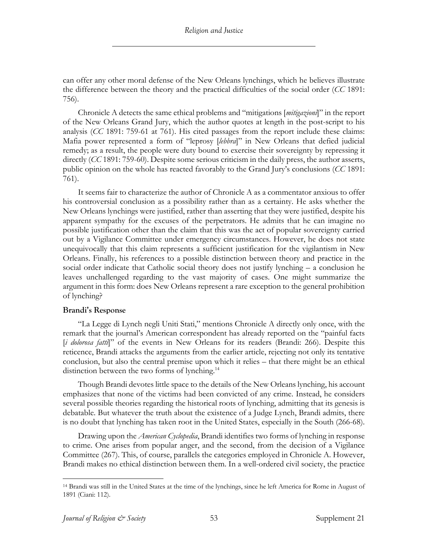can offer any other moral defense of the New Orleans lynchings, which he believes illustrate the difference between the theory and the practical difficulties of the social order (*CC* 1891: 756).

Chronicle A detects the same ethical problems and "mitigations [*mitigazioni*]" in the report of the New Orleans Grand Jury, which the author quotes at length in the post-script to his analysis (*CC* 1891: 759-61 at 761). His cited passages from the report include these claims: Mafia power represented a form of "leprosy [*lebbra*]" in New Orleans that defied judicial remedy; as a result, the people were duty bound to exercise their sovereignty by repressing it directly (*CC* 1891: 759-60). Despite some serious criticism in the daily press, the author asserts, public opinion on the whole has reacted favorably to the Grand Jury's conclusions (*CC* 1891: 761).

It seems fair to characterize the author of Chronicle A as a commentator anxious to offer his controversial conclusion as a possibility rather than as a certainty. He asks whether the New Orleans lynchings were justified, rather than asserting that they were justified, despite his apparent sympathy for the excuses of the perpetrators. He admits that he can imagine no possible justification other than the claim that this was the act of popular sovereignty carried out by a Vigilance Committee under emergency circumstances. However, he does not state unequivocally that this claim represents a sufficient justification for the vigilantism in New Orleans. Finally, his references to a possible distinction between theory and practice in the social order indicate that Catholic social theory does not justify lynching – a conclusion he leaves unchallenged regarding to the vast majority of cases. One might summarize the argument in this form: does New Orleans represent a rare exception to the general prohibition of lynching?

## **Brandi's Response**

"La Legge di Lynch negli Uniti Stati," mentions Chronicle A directly only once, with the remark that the journal's American correspondent has already reported on the "painful facts [*i dolorosa fatti*]" of the events in New Orleans for its readers (Brandi: 266). Despite this reticence, Brandi attacks the arguments from the earlier article, rejecting not only its tentative conclusion, but also the central premise upon which it relies – that there might be an ethical distinction between the two forms of lynching.<sup>14</sup>

Though Brandi devotes little space to the details of the New Orleans lynching, his account emphasizes that none of the victims had been convicted of any crime. Instead, he considers several possible theories regarding the historical roots of lynching, admitting that its genesis is debatable. But whatever the truth about the existence of a Judge Lynch, Brandi admits, there is no doubt that lynching has taken root in the United States, especially in the South (266-68).

Drawing upon the *American Cyclopedia*, Brandi identifies two forms of lynching in response to crime. One arises from popular anger, and the second, from the decision of a Vigilance Committee (267). This, of course, parallels the categories employed in Chronicle A. However, Brandi makes no ethical distinction between them. In a well-ordered civil society, the practice

<sup>14</sup> Brandi was still in the United States at the time of the lynchings, since he left America for Rome in August of 1891 (Ciani: 112).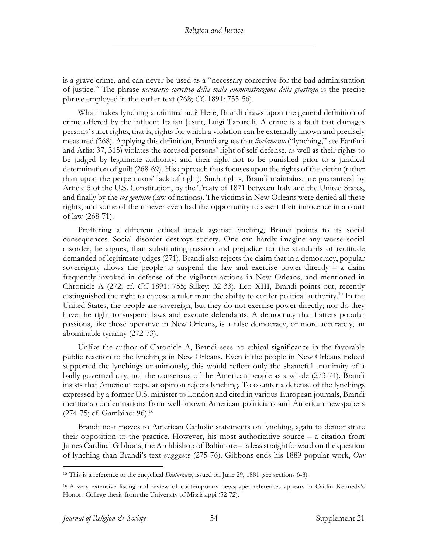is a grave crime, and can never be used as a "necessary corrective for the bad administration of justice." The phrase *necessario corretivo della mala amministrazione della giustizia* is the precise phrase employed in the earlier text (268; *CC* 1891: 755-56).

What makes lynching a criminal act? Here, Brandi draws upon the general definition of crime offered by the influent Italian Jesuit, Luigi Taparelli. A crime is a fault that damages persons' strict rights, that is, rights for which a violation can be externally known and precisely measured (268). Applying this definition, Brandi argues that *linciamento* ("lynching," see Fanfani and Arlía: 37, 315) violates the accused persons' right of self-defense, as well as their rights to be judged by legitimate authority, and their right not to be punished prior to a juridical determination of guilt (268-69). His approach thus focuses upon the rights of the victim (rather than upon the perpetrators' lack of right). Such rights, Brandi maintains, are guaranteed by Article 5 of the U.S. Constitution, by the Treaty of 1871 between Italy and the United States, and finally by the *ius gentium* (law of nations). The victims in New Orleans were denied all these rights, and some of them never even had the opportunity to assert their innocence in a court of law (268-71).

Proffering a different ethical attack against lynching, Brandi points to its social consequences. Social disorder destroys society. One can hardly imagine any worse social disorder, he argues, than substituting passion and prejudice for the standards of rectitude demanded of legitimate judges (271). Brandi also rejects the claim that in a democracy, popular sovereignty allows the people to suspend the law and exercise power directly  $-$  a claim frequently invoked in defense of the vigilante actions in New Orleans, and mentioned in Chronicle A (272; cf. *CC* 1891: 755; Silkey: 32-33). Leo XIII, Brandi points out, recently distinguished the right to choose a ruler from the ability to confer political authority.<sup>15</sup> In the United States, the people are sovereign, but they do not exercise power directly; nor do they have the right to suspend laws and execute defendants. A democracy that flatters popular passions, like those operative in New Orleans, is a false democracy, or more accurately, an abominable tyranny (272-73).

Unlike the author of Chronicle A, Brandi sees no ethical significance in the favorable public reaction to the lynchings in New Orleans. Even if the people in New Orleans indeed supported the lynchings unanimously, this would reflect only the shameful unanimity of a badly governed city, not the consensus of the American people as a whole (273-74). Brandi insists that American popular opinion rejects lynching. To counter a defense of the lynchings expressed by a former U.S. minister to London and cited in various European journals, Brandi mentions condemnations from well-known American politicians and American newspapers (274-75; cf. Gambino: 96).<sup>16</sup>

Brandi next moves to American Catholic statements on lynching, again to demonstrate their opposition to the practice. However, his most authoritative source  $-$  a citation from James Cardinal Gibbons, the Archbishop of Baltimore – is less straightforward on the question of lynching than Brandi's text suggests (275-76). Gibbons ends his 1889 popular work, *Our* 

<sup>15</sup> This is a reference to the encyclical *Diuturnum*, issued on June 29, 1881 (see sections 6-8).

<sup>16</sup> A very extensive listing and review of contemporary newspaper references appears in Caitlin Kennedy's Honors College thesis from the University of Mississippi (52-72).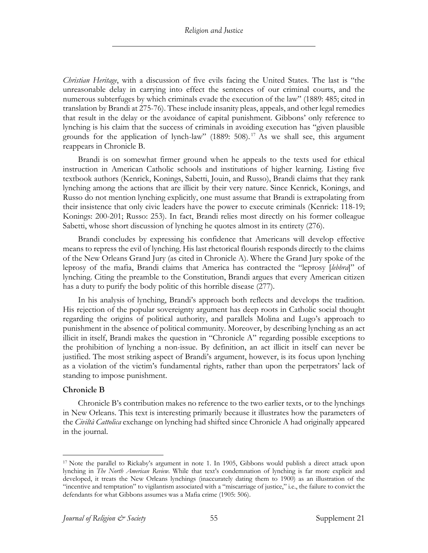*Christian Heritage*, with a discussion of five evils facing the United States. The last is "the unreasonable delay in carrying into effect the sentences of our criminal courts, and the numerous subterfuges by which criminals evade the execution of the law" (1889: 485; cited in translation by Brandi at 275-76). These include insanity pleas, appeals, and other legal remedies that result in the delay or the avoidance of capital punishment. Gibbons' only reference to lynching is his claim that the success of criminals in avoiding execution has "given plausible grounds for the application of lynch-law" (1889:  $508$ ).<sup>17</sup> As we shall see, this argument reappears in Chronicle B.

Brandi is on somewhat firmer ground when he appeals to the texts used for ethical instruction in American Catholic schools and institutions of higher learning. Listing five textbook authors (Kenrick, Konings, Sabetti, Jouin, and Russo), Brandi claims that they rank lynching among the actions that are illicit by their very nature. Since Kenrick, Konings, and Russo do not mention lynching explicitly, one must assume that Brandi is extrapolating from their insistence that only civic leaders have the power to execute criminals (Kenrick: 118-19; Konings: 200-201; Russo: 253). In fact, Brandi relies most directly on his former colleague Sabetti, whose short discussion of lynching he quotes almost in its entirety (276).

Brandi concludes by expressing his confidence that Americans will develop effective means to repress the evil of lynching. His last rhetorical flourish responds directly to the claims of the New Orleans Grand Jury (as cited in Chronicle A). Where the Grand Jury spoke of the leprosy of the mafia, Brandi claims that America has contracted the "leprosy [*lebbra*]" of lynching. Citing the preamble to the Constitution, Brandi argues that every American citizen has a duty to purify the body politic of this horrible disease (277).

In his analysis of lynching, Brandi's approach both reflects and develops the tradition. His rejection of the popular sovereignty argument has deep roots in Catholic social thought regarding the origins of political authority, and parallels Molina and Lugo's approach to punishment in the absence of political community. Moreover, by describing lynching as an act illicit in itself, Brandi makes the question in "Chronicle A" regarding possible exceptions to the prohibition of lynching a non-issue. By definition, an act illicit in itself can never be justified. The most striking aspect of Brandi's argument, however, is its focus upon lynching as a violation of the victim's fundamental rights, rather than upon the perpetrators' lack of standing to impose punishment.

## **Chronicle B**

Chronicle B's contribution makes no reference to the two earlier texts, or to the lynchings in New Orleans. This text is interesting primarily because it illustrates how the parameters of the *Civiltà Cattolica* exchange on lynching had shifted since Chronicle A had originally appeared in the journal.

<sup>17</sup> Note the parallel to Rickaby's argument in note 1. In 1905, Gibbons would publish a direct attack upon lynching in *The North American Review*. While that text's condemnation of lynching is far more explicit and developed, it treats the New Orleans lynchings (inaccurately dating them to 1900) as an illustration of the "incentive and temptation" to vigilantism associated with a "miscarriage of justice," i.e., the failure to convict the defendants for what Gibbons assumes was a Mafia crime (1905: 506).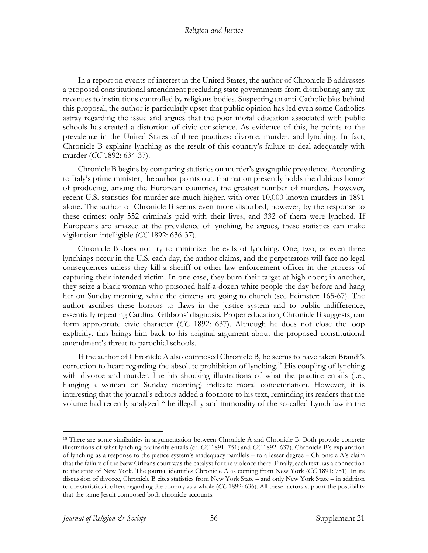In a report on events of interest in the United States, the author of Chronicle B addresses a proposed constitutional amendment precluding state governments from distributing any tax revenues to institutions controlled by religious bodies. Suspecting an anti-Catholic bias behind this proposal, the author is particularly upset that public opinion has led even some Catholics astray regarding the issue and argues that the poor moral education associated with public schools has created a distortion of civic conscience. As evidence of this, he points to the prevalence in the United States of three practices: divorce, murder, and lynching. In fact, Chronicle B explains lynching as the result of this country's failure to deal adequately with murder (*CC* 1892: 634-37).

Chronicle B begins by comparing statistics on murder's geographic prevalence. According to Italy's prime minister, the author points out, that nation presently holds the dubious honor of producing, among the European countries, the greatest number of murders. However, recent U.S. statistics for murder are much higher, with over 10,000 known murders in 1891 alone. The author of Chronicle B seems even more disturbed, however, by the response to these crimes: only 552 criminals paid with their lives, and 332 of them were lynched. If Europeans are amazed at the prevalence of lynching, he argues, these statistics can make vigilantism intelligible (*CC* 1892: 636-37).

Chronicle B does not try to minimize the evils of lynching. One, two, or even three lynchings occur in the U.S. each day, the author claims, and the perpetrators will face no legal consequences unless they kill a sheriff or other law enforcement officer in the process of capturing their intended victim. In one case, they burn their target at high noon; in another, they seize a black woman who poisoned half-a-dozen white people the day before and hang her on Sunday morning, while the citizens are going to church (see Feimster: 165-67). The author ascribes these horrors to flaws in the justice system and to public indifference, essentially repeating Cardinal Gibbons' diagnosis. Proper education, Chronicle B suggests, can form appropriate civic character (*CC* 1892: 637). Although he does not close the loop explicitly, this brings him back to his original argument about the proposed constitutional amendment's threat to parochial schools.

If the author of Chronicle A also composed Chronicle B, he seems to have taken Brandi's correction to heart regarding the absolute prohibition of lynching.<sup>18</sup> His coupling of lynching with divorce and murder, like his shocking illustrations of what the practice entails (i.e., hanging a woman on Sunday morning) indicate moral condemnation. However, it is interesting that the journal's editors added a footnote to his text, reminding its readers that the volume had recently analyzed "the illegality and immorality of the so-called Lynch law in the

<sup>&</sup>lt;sup>18</sup> There are some similarities in argumentation between Chronicle A and Chronicle B. Both provide concrete illustrations of what lynching ordinarily entails (cf. *CC* 1891: 751; and *CC* 1892: 637). Chronicle B's explanation of lynching as a response to the justice system's inadequacy parallels – to a lesser degree – Chronicle A's claim that the failure of the New Orleans court was the catalyst for the violence there. Finally, each text has a connection to the state of New York. The journal identifies Chronicle A as coming from New York (*CC* 1891: 751). In its discussion of divorce, Chronicle B cites statistics from New York State – and only New York State – in addition to the statistics it offers regarding the country as a whole (*CC* 1892: 636). All these factors support the possibility that the same Jesuit composed both chronicle accounts.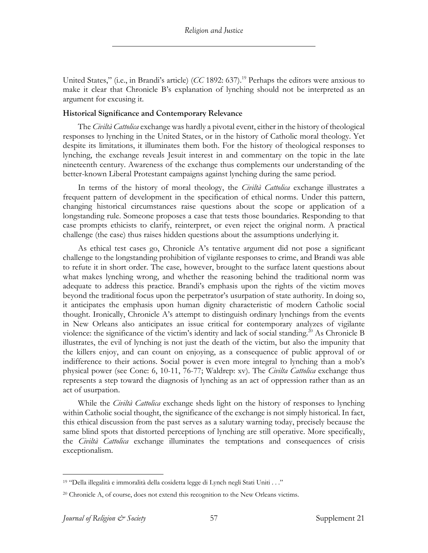United States," (i.e., in Brandi's article) (*CC* 1892: 637).<sup>19</sup> Perhaps the editors were anxious to make it clear that Chronicle B's explanation of lynching should not be interpreted as an argument for excusing it.

## **Historical Significance and Contemporary Relevance**

The *Civiltà Cattolica* exchange was hardly a pivotal event, either in the history of theological responses to lynching in the United States, or in the history of Catholic moral theology. Yet despite its limitations, it illuminates them both. For the history of theological responses to lynching, the exchange reveals Jesuit interest in and commentary on the topic in the late nineteenth century. Awareness of the exchange thus complements our understanding of the better-known Liberal Protestant campaigns against lynching during the same period.

In terms of the history of moral theology, the *Civiltà Cattolica* exchange illustrates a frequent pattern of development in the specification of ethical norms. Under this pattern, changing historical circumstances raise questions about the scope or application of a longstanding rule. Someone proposes a case that tests those boundaries. Responding to that case prompts ethicists to clarify, reinterpret, or even reject the original norm. A practical challenge (the case) thus raises hidden questions about the assumptions underlying it.

As ethical test cases go, Chronicle A's tentative argument did not pose a significant challenge to the longstanding prohibition of vigilante responses to crime, and Brandi was able to refute it in short order. The case, however, brought to the surface latent questions about what makes lynching wrong, and whether the reasoning behind the traditional norm was adequate to address this practice. Brandi's emphasis upon the rights of the victim moves beyond the traditional focus upon the perpetrator's usurpation of state authority. In doing so, it anticipates the emphasis upon human dignity characteristic of modern Catholic social thought. Ironically, Chronicle A's attempt to distinguish ordinary lynchings from the events in New Orleans also anticipates an issue critical for contemporary analyzes of vigilante violence: the significance of the victim's identity and lack of social standing.<sup>20</sup> As Chronicle B illustrates, the evil of lynching is not just the death of the victim, but also the impunity that the killers enjoy, and can count on enjoying, as a consequence of public approval of or indifference to their actions. Social power is even more integral to lynching than a mob's physical power (see Cone: 6, 10-11, 76-77; Waldrep: xv). The *Civilta Cattolica* exchange thus represents a step toward the diagnosis of lynching as an act of oppression rather than as an act of usurpation.

While the *Civiltà Cattolica* exchange sheds light on the history of responses to lynching within Catholic social thought, the significance of the exchange is not simply historical. In fact, this ethical discussion from the past serves as a salutary warning today, precisely because the same blind spots that distorted perceptions of lynching are still operative. More specifically, the *Civiltà Cattolica* exchange illuminates the temptations and consequences of crisis exceptionalism.

<sup>19</sup> "Della illegalità e immoralità della cosidetta legge di Lynch negli Stati Uniti . . ."

<sup>20</sup> Chronicle A, of course, does not extend this recognition to the New Orleans victims.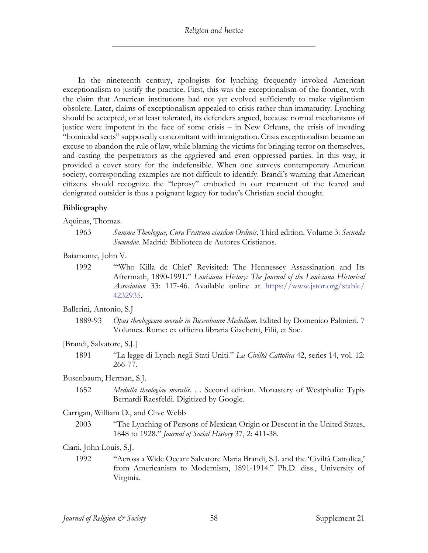In the nineteenth century, apologists for lynching frequently invoked American exceptionalism to justify the practice. First, this was the exceptionalism of the frontier, with the claim that American institutions had not yet evolved sufficiently to make vigilantism obsolete. Later, claims of exceptionalism appealed to crisis rather than immaturity. Lynching should be accepted, or at least tolerated, its defenders argued, because normal mechanisms of justice were impotent in the face of some crisis – in New Orleans, the crisis of invading "homicidal sects" supposedly concomitant with immigration. Crisis exceptionalism became an excuse to abandon the rule of law, while blaming the victims for bringing terror on themselves, and casting the perpetrators as the aggrieved and even oppressed parties. In this way, it provided a cover story for the indefensible. When one surveys contemporary American society, corresponding examples are not difficult to identify. Brandi's warning that American citizens should recognize the "leprosy" embodied in our treatment of the feared and denigrated outsider is thus a poignant legacy for today's Christian social thought.

## **Bibliography**

Aquinas, Thomas.

1963 *Summa Theologiae, Cura Fratrum eiusdem Ordinis*. Third edition. Volume 3: *Secunda Secundae*. Madrid: Biblioteca de Autores Cristianos.

## Baiamonte, John V.

1992 "'Who Killa de Chief' Revisited: The Hennessey Assassination and Its Aftermath, 1890-1991." *Louisiana History: The Journal of the Louisiana Historical Association* 33: 117-46. Available online at https://www.jstor.org/stable/ 4232935.

## Ballerini, Antonio, S.J

1889-93 *Opus theologicum morale in Busenbaum Medullam*. Edited by Domenico Palmieri. 7 Volumes. Rome: ex officina libraria Giachetti, Filii, et Soc.

## [Brandi, Salvatore, S.J.]

1891 "La legge di Lynch negli Stati Uniti." *La Civiltà Cattolica* 42, series 14, vol. 12: 266-77.

## Busenbaum, Herman, S.J.

1652 *Medulla theologiae moralis*. . . Second edition. Monastery of Westphalia: Typis Bernardi Raesfeldi. Digitized by Google.

## Carrigan, William D., and Clive Webb

2003 "The Lynching of Persons of Mexican Origin or Descent in the United States, 1848 to 1928." *Journal of Social History* 37, 2: 411-38.

## Ciani, John Louis, S.J.

1992 "Across a Wide Ocean: Salvatore Maria Brandi, S.J. and the 'Civiltà Cattolica,' from Americanism to Modernism, 1891-1914." Ph.D. diss., University of Virginia.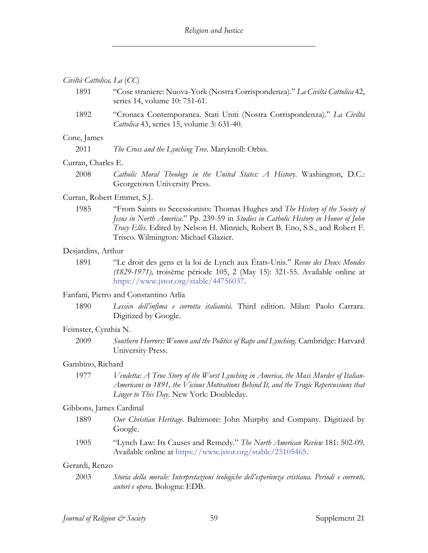#### *Civiltà Cattolica, La* (*CC*)

- 1891 "Cose straniere: Nuova-York (Nostra Corrispondenza)." *La Civiltà Cattolica* 42, series 14, volume 10: 751-61.
- 1892 "Cronaca Contemporanea. Stati Uniti (Nostra Corrispondenza)." *La Civiltà Cattolica* 43, series 15, volume 3: 631-40.

#### Cone, James

2011 *The Cross and the Lynching Tree*. Maryknoll: Orbis.

#### Curran, Charles E.

2008 *Catholic Moral Theology in the United States: A History*. Washington, D.C.: Georgetown University Press.

#### Curran, Robert Emmet, S.J.

1985 "From Saints to Secessionists: Thomas Hughes and *The History of the Society of Jesus in North America*." Pp. 239-59 in *Studies in Catholic History in Honor of John Tracy Ellis*. Edited by Nelson H. Minnich, Robert B. Eno, S.S., and Robert F. Trisco. Wilmington: Michael Glazier.

#### Desjardins, Arthur

1891 "Le droit des gens et la loi de Lynch aux États-Unis." *Revue des Deux Mondes (1829-1971),* troisème période 105, 2 (May 15): 321-55. Available online at https://www.jstor.org/stable/44756037.

#### Fanfani, Pietro and Constantino Arlía

1890 *Lessico dell'infima e corrotta italianità*. Third edition. Milan: Paolo Carrara. Digitized by Google.

#### Feimster, Cynthia N.

2009 *Southern Horrors: Women and the Politics of Rape and Lynching*. Cambridge: Harvard University Press.

#### Gambino, Richard

1977 *Vendetta: A True Story of the Worst Lynching in America, the Mass Murder of Italian-Americans in 1891, the Vicious Motivations Behind It, and the Tragic Repercussions that Linger to This Day*. New York: Doubleday.

## Gibbons, James Cardinal

- 1889 *Our Christian Heritage*. Baltimore: John Murphy and Company. Digitized by Google.
- 1905 "Lynch Law: Its Causes and Remedy." *The North American Review* 181: 502-09. Available online at https://www.jstor.org/stable/25105465.

#### Gerardi, Renzo

2003 *Storia della morale: Interpretazioni teologiche dell'esperienza cristiana. Periodi e correnti, autori e opera*. Bologna: EDB.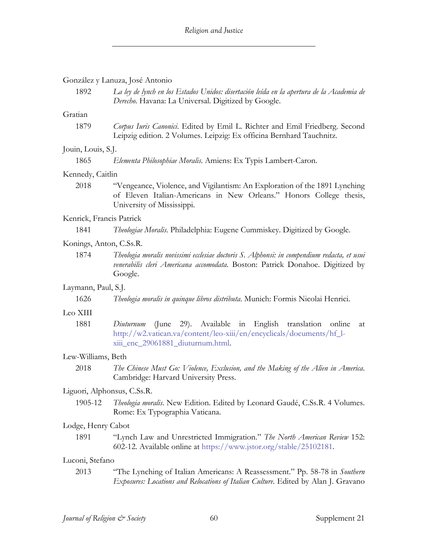#### González y Lanuza, José Antonio

1892 *La ley de lynch en los Estados Unidos: disertación leída en la apertura de la Academia de Derecho*. Havana: La Universal. Digitized by Google.

## Gratian

1879 *Corpus Iuris Canonici*. Edited by Emil L. Richter and Emil Friedberg. Second Leipzig edition. 2 Volumes. Leipzig: Ex officina Bernhard Tauchnitz.

#### Jouin, Louis, S.J.

1865 *Elementa Philosophiae Moralis*. Amiens: Ex Typis Lambert-Caron.

#### Kennedy, Caitlin

2018 "Vengeance, Violence, and Vigilantism: An Exploration of the 1891 Lynching of Eleven Italian-Americans in New Orleans." Honors College thesis, University of Mississippi.

#### Kenrick, Francis Patrick

| 1841 | Theologiae Moralis. Philadelphia: Eugene Cummiskey. Digitized by Google. |  |  |  |  |  |  |
|------|--------------------------------------------------------------------------|--|--|--|--|--|--|
|------|--------------------------------------------------------------------------|--|--|--|--|--|--|

#### Konings, Anton, C.Ss.R.

1874 *Theologia moralis novissimi ecclesiae doctoris S. Alphonsi: in compendium redacta, et usui venerabilis cleri Americana accomodata*. Boston: Patrick Donahoe. Digitized by Google.

## Laymann, Paul, S.J.

1626 *Theologia moralis in quinque libros distributa*. Munich: Formis Nicolai Henrici.

## Leo XIII

1881 *Diuturnum* (June 29). Available in English translation online at http://w2.vatican.va/content/leo-xiii/en/encyclicals/documents/hf\_lxiii\_enc\_29061881\_diuturnum.html.

## Lew-Williams, Beth

2018 *The Chinese Must Go: Violence, Exclusion, and the Making of the Alien in America*. Cambridge: Harvard University Press.

#### Liguori, Alphonsus, C.Ss.R.

1905-12 *Theologia moralis*. New Edition. Edited by Leonard Gaudé, C.Ss.R. 4 Volumes. Rome: Ex Typographia Vaticana.

## Lodge, Henry Cabot

1891 "Lynch Law and Unrestricted Immigration." *The North American Review* 152: 602-12. Available online at https://www.jstor.org/stable/25102181.

## Luconi, Stefano

2013 "The Lynching of Italian Americans: A Reassessment." Pp. 58-78 in *Southern Exposures: Locations and Relocations of Italian Culture*. Edited by Alan J. Gravano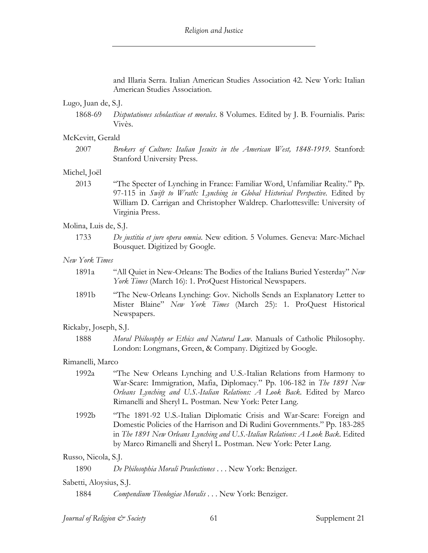and Illaria Serra. Italian American Studies Association 42. New York: Italian American Studies Association.

## Lugo, Juan de, S.J.

1868-69 *Disputationes scholasticae et morales*. 8 Volumes. Edited by J. B. Fournialis. Paris: Vivès.

#### McKevitt, Gerald

2007 *Brokers of Culture: Italian Jesuits in the American West, 1848-1919*. Stanford: Stanford University Press.

#### Michel, Joël

2013 "The Specter of Lynching in France: Familiar Word, Unfamiliar Reality." Pp. 97-115 in *Swift to Wrath: Lynching in Global Historical Perspective*. Edited by William D. Carrigan and Christopher Waldrep. Charlottesville: University of Virginia Press.

#### Molina, Luis de, S.J.

1733 *De justitia et jure opera omnia*. New edition. 5 Volumes. Geneva: Marc-Michael Bousquet. Digitized by Google.

#### *New York Times*

- 1891a "All Quiet in New-Orleans: The Bodies of the Italians Buried Yesterday" *New York Times* (March 16): 1. ProQuest Historical Newspapers.
- 1891b "The New-Orleans Lynching: Gov. Nicholls Sends an Explanatory Letter to Mister Blaine" *New York Times* (March 25): 1. ProQuest Historical Newspapers.

#### Rickaby, Joseph, S.J.

1888 *Moral Philosophy or Ethics and Natural Law*. Manuals of Catholic Philosophy. London: Longmans, Green, & Company. Digitized by Google.

#### Rimanelli, Marco

- 1992a "The New Orleans Lynching and U.S.-Italian Relations from Harmony to War-Scare: Immigration, Mafia, Diplomacy." Pp. 106-182 in *The 1891 New Orleans Lynching and U.S.-Italian Relations: A Look Back*. Edited by Marco Rimanelli and Sheryl L. Postman. New York: Peter Lang.
- 1992b "The 1891-92 U.S.-Italian Diplomatic Crisis and War-Scare: Foreign and Domestic Policies of the Harrison and Di Rudini Governments." Pp. 183-285 in *The 1891 New Orleans Lynching and U.S.-Italian Relations: A Look Back*. Edited by Marco Rimanelli and Sheryl L. Postman. New York: Peter Lang.

#### Russo, Nicola, S.J.

#### Sabetti, Aloysius, S.J.

1884 *Compendium Theologiae Moralis* . . . New York: Benziger.

<sup>1890</sup> *De Philosophia Morali Praelectiones* . . . New York: Benziger.